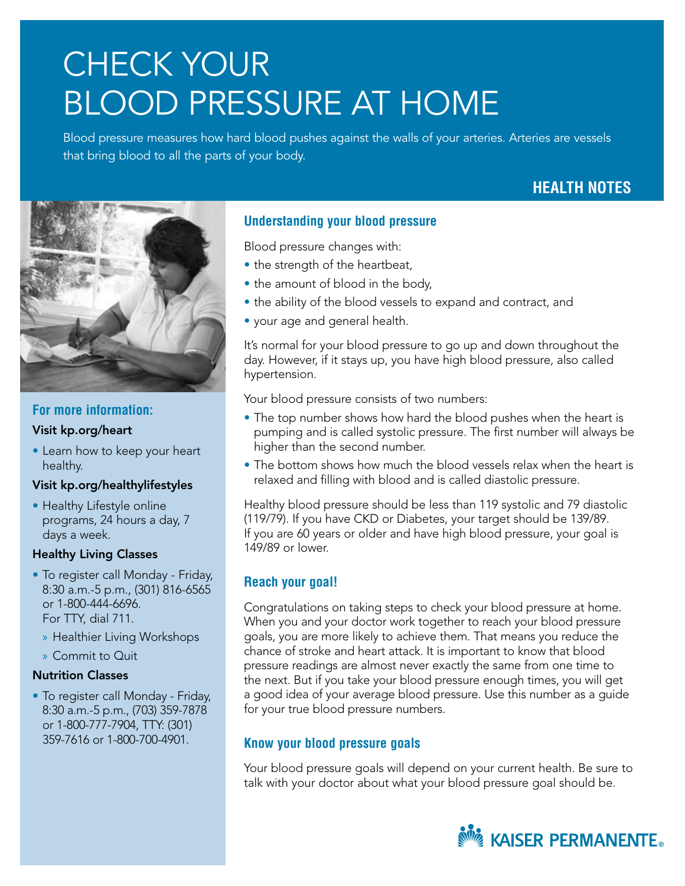# CHECK YOUR BLOOD PRESSURE AT HOME

Blood pressure measures how hard blood pushes against the walls of your arteries. Arteries are vessels that bring blood to all the parts of your body.

# **HEALTH NOTES**



# **For more information:**

### Visit kp.org/heart

• Learn how to keep your heart healthy.

# Visit kp.org/healthylifestyles

• Healthy Lifestyle online programs, 24 hours a day, 7 days a week.

### Healthy Living Classes

- To register call Monday Friday, 8:30 a.m.-5 p.m., (301) 816-6565 or 1-800-444-6696. For TTY, dial 711.
	- » Healthier Living Workshops
	- » Commit to Quit

# Nutrition Classes

• To register call Monday - Friday, 8:30 a.m.-5 p.m., (703) 359-7878 or 1-800-777-7904, TTY: (301) 359-7616 or 1-800-700-4901.

# **Understanding your blood pressure**

Blood pressure changes with:

- the strength of the heartbeat,
- the amount of blood in the body,
- the ability of the blood vessels to expand and contract, and
- your age and general health.

It's normal for your blood pressure to go up and down throughout the day. However, if it stays up, you have high blood pressure, also called hypertension.

Your blood pressure consists of two numbers:

- The top number shows how hard the blood pushes when the heart is pumping and is called systolic pressure. The first number will always be higher than the second number.
- The bottom shows how much the blood vessels relax when the heart is relaxed and filling with blood and is called diastolic pressure.

Healthy blood pressure should be less than 119 systolic and 79 diastolic (119/79). If you have CKD or Diabetes, your target should be 139/89. If you are 60 years or older and have high blood pressure, your goal is 149/89 or lower.

# **Reach your goal!**

Congratulations on taking steps to check your blood pressure at home. When you and your doctor work together to reach your blood pressure goals, you are more likely to achieve them. That means you reduce the chance of stroke and heart attack. It is important to know that blood pressure readings are almost never exactly the same from one time to the next. But if you take your blood pressure enough times, you will get a good idea of your average blood pressure. Use this number as a guide for your true blood pressure numbers.

# **Know your blood pressure goals**

Your blood pressure goals will depend on your current health. Be sure to talk with your doctor about what your blood pressure goal should be.